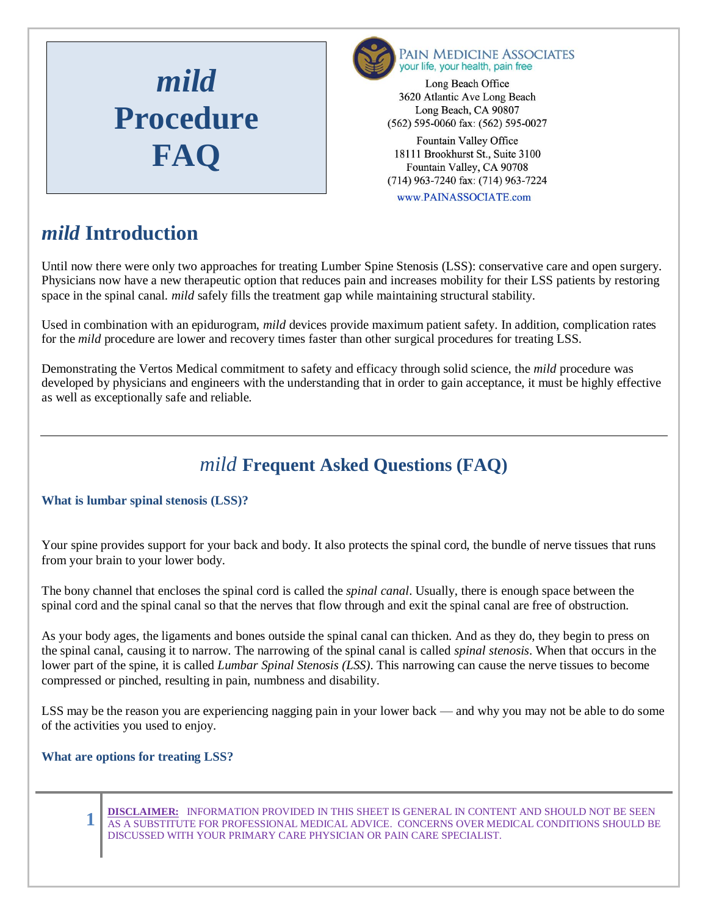



www.PAINASSOCIATE.com

## *mild* **Introduction**

Until now there were only two approaches for treating Lumber Spine Stenosis (LSS): conservative care and open surgery. Physicians now have a new therapeutic option that reduces pain and increases mobility for their LSS patients by restoring space in the spinal canal. *mild* safely fills the treatment gap while maintaining structural stability.

Used in combination with an epidurogram, *mild* devices provide maximum patient safety. In addition, complication rates for the *mild* procedure are lower and recovery times faster than other surgical procedures for treating LSS.

Demonstrating the Vertos Medical commitment to safety and efficacy through solid science, the *mild* procedure was developed by physicians and engineers with the understanding that in order to gain acceptance, it must be highly effective as well as exceptionally safe and reliable.

# *mild* **Frequent Asked Questions (FAQ)**

## **What is lumbar spinal stenosis (LSS)?**

Your spine provides support for your back and body. It also protects the spinal cord, the bundle of nerve tissues that runs from your brain to your lower body.

The bony channel that encloses the spinal cord is called the *spinal canal*. Usually, there is enough space between the spinal cord and the spinal canal so that the nerves that flow through and exit the spinal canal are free of obstruction.

As your body ages, the ligaments and bones outside the spinal canal can thicken. And as they do, they begin to press on the spinal canal, causing it to narrow. The narrowing of the spinal canal is called *spinal stenosis*. When that occurs in the lower part of the spine, it is called *Lumbar Spinal Stenosis (LSS)*. This narrowing can cause the nerve tissues to become compressed or pinched, resulting in pain, numbness and disability.

LSS may be the reason you are experiencing nagging pain in your lower back — and why you may not be able to do some of the activities you used to enjoy.

## **What are options for treating LSS?**

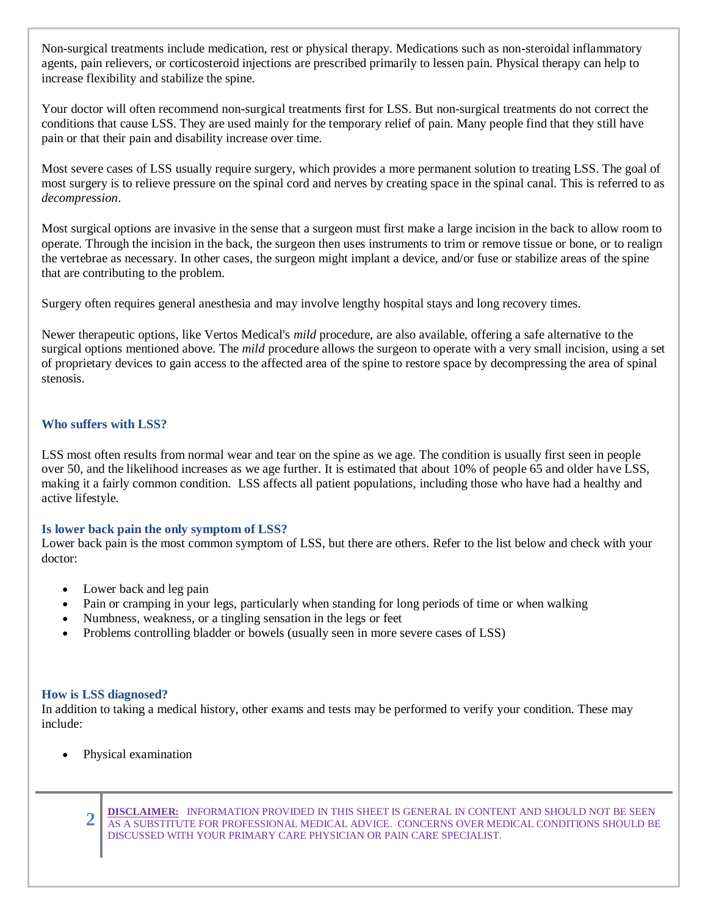Non-surgical treatments include medication, rest or physical therapy. Medications such as non-steroidal inflammatory agents, pain relievers, or corticosteroid injections are prescribed primarily to lessen pain. Physical therapy can help to increase flexibility and stabilize the spine.

Your doctor will often recommend non-surgical treatments first for LSS. But non-surgical treatments do not correct the conditions that cause LSS. They are used mainly for the temporary relief of pain. Many people find that they still have pain or that their pain and disability increase over time.

Most severe cases of LSS usually require surgery, which provides a more permanent solution to treating LSS. The goal of most surgery is to relieve pressure on the spinal cord and nerves by creating space in the spinal canal. This is referred to as *decompression*.

Most surgical options are invasive in the sense that a surgeon must first make a large incision in the back to allow room to operate. Through the incision in the back, the surgeon then uses instruments to trim or remove tissue or bone, or to realign the vertebrae as necessary. In other cases, the surgeon might implant a device, and/or fuse or stabilize areas of the spine that are contributing to the problem.

Surgery often requires general anesthesia and may involve lengthy hospital stays and long recovery times.

Newer therapeutic options, like Vertos Medical's *mild* procedure, are also available, offering a safe alternative to the surgical options mentioned above. The *mild* procedure allows the surgeon to operate with a very small incision, using a set of proprietary devices to gain access to the affected area of the spine to restore space by decompressing the area of spinal stenosis.

#### **Who suffers with LSS?**

LSS most often results from normal wear and tear on the spine as we age. The condition is usually first seen in people over 50, and the likelihood increases as we age further. It is estimated that about 10% of people 65 and older have LSS, making it a fairly common condition. LSS affects all patient populations, including those who have had a healthy and active lifestyle.

#### **Is lower back pain the only symptom of LSS?**

Lower back pain is the most common symptom of LSS, but there are others. Refer to the list below and check with your doctor:

- Lower back and leg pain
- Pain or cramping in your legs, particularly when standing for long periods of time or when walking
- Numbness, weakness, or a tingling sensation in the legs or feet
- Problems controlling bladder or bowels (usually seen in more severe cases of LSS)

#### **How is LSS diagnosed?**

In addition to taking a medical history, other exams and tests may be performed to verify your condition. These may include:

Physical examination

**2 DISCLAIMER:** INFORMATION PROVIDED IN THIS SHEET IS GENERAL IN CONTENT AND SHOULD NOT BE SEEN AS A SUBSTITUTE FOR PROFESSIONAL MEDICAL ADVICE. CONCERNS OVER MEDICAL CONDITIONS SHOULD BE DISCUSSED WITH YOUR PRIMARY CARE PHYSICIAN OR PAIN CARE SPECIALIST.